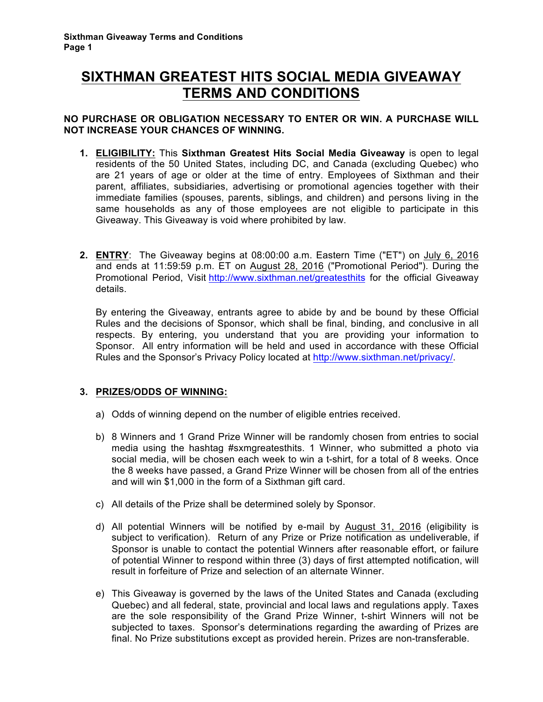# **SIXTHMAN GREATEST HITS SOCIAL MEDIA GIVEAWAY TERMS AND CONDITIONS**

### **NO PURCHASE OR OBLIGATION NECESSARY TO ENTER OR WIN. A PURCHASE WILL NOT INCREASE YOUR CHANCES OF WINNING.**

- **1. ELIGIBILITY:** This **Sixthman Greatest Hits Social Media Giveaway** is open to legal residents of the 50 United States, including DC, and Canada (excluding Quebec) who are 21 years of age or older at the time of entry. Employees of Sixthman and their parent, affiliates, subsidiaries, advertising or promotional agencies together with their immediate families (spouses, parents, siblings, and children) and persons living in the same households as any of those employees are not eligible to participate in this Giveaway. This Giveaway is void where prohibited by law.
- **2. ENTRY**: The Giveaway begins at 08:00:00 a.m. Eastern Time ("ET") on July 6, 2016 and ends at 11:59:59 p.m. ET on August 28, 2016 ("Promotional Period"). During the Promotional Period, Visit http://www.sixthman.net/greatesthits for the official Giveaway details.

By entering the Giveaway, entrants agree to abide by and be bound by these Official Rules and the decisions of Sponsor, which shall be final, binding, and conclusive in all respects. By entering, you understand that you are providing your information to Sponsor. All entry information will be held and used in accordance with these Official Rules and the Sponsor's Privacy Policy located at http://www.sixthman.net/privacy/.

### **3. PRIZES/ODDS OF WINNING:**

- a) Odds of winning depend on the number of eligible entries received.
- b) 8 Winners and 1 Grand Prize Winner will be randomly chosen from entries to social media using the hashtag #sxmgreatesthits. 1 Winner, who submitted a photo via social media, will be chosen each week to win a t-shirt, for a total of 8 weeks. Once the 8 weeks have passed, a Grand Prize Winner will be chosen from all of the entries and will win \$1,000 in the form of a Sixthman gift card.
- c) All details of the Prize shall be determined solely by Sponsor.
- d) All potential Winners will be notified by e-mail by August 31, 2016 (eligibility is subject to verification). Return of any Prize or Prize notification as undeliverable, if Sponsor is unable to contact the potential Winners after reasonable effort, or failure of potential Winner to respond within three (3) days of first attempted notification, will result in forfeiture of Prize and selection of an alternate Winner.
- e) This Giveaway is governed by the laws of the United States and Canada (excluding Quebec) and all federal, state, provincial and local laws and regulations apply. Taxes are the sole responsibility of the Grand Prize Winner, t-shirt Winners will not be subjected to taxes. Sponsor's determinations regarding the awarding of Prizes are final. No Prize substitutions except as provided herein. Prizes are non-transferable.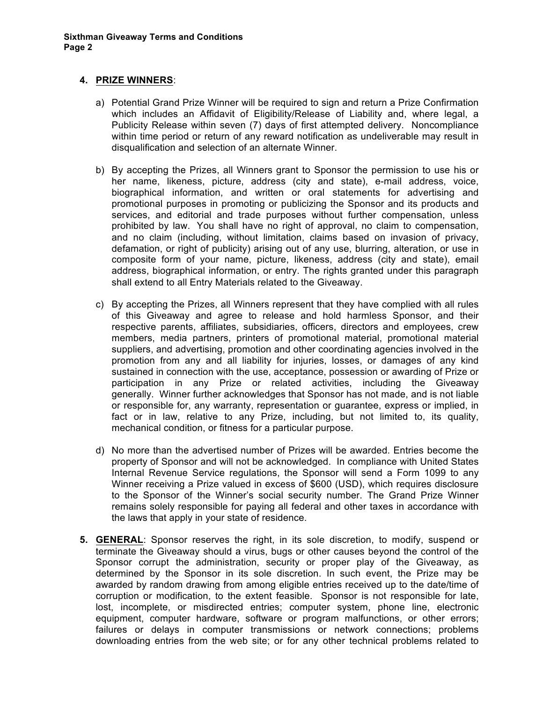#### **4. PRIZE WINNERS**:

- a) Potential Grand Prize Winner will be required to sign and return a Prize Confirmation which includes an Affidavit of Eligibility/Release of Liability and, where legal, a Publicity Release within seven (7) days of first attempted delivery. Noncompliance within time period or return of any reward notification as undeliverable may result in disqualification and selection of an alternate Winner.
- b) By accepting the Prizes, all Winners grant to Sponsor the permission to use his or her name, likeness, picture, address (city and state), e-mail address, voice, biographical information, and written or oral statements for advertising and promotional purposes in promoting or publicizing the Sponsor and its products and services, and editorial and trade purposes without further compensation, unless prohibited by law. You shall have no right of approval, no claim to compensation, and no claim (including, without limitation, claims based on invasion of privacy, defamation, or right of publicity) arising out of any use, blurring, alteration, or use in composite form of your name, picture, likeness, address (city and state), email address, biographical information, or entry. The rights granted under this paragraph shall extend to all Entry Materials related to the Giveaway.
- c) By accepting the Prizes, all Winners represent that they have complied with all rules of this Giveaway and agree to release and hold harmless Sponsor, and their respective parents, affiliates, subsidiaries, officers, directors and employees, crew members, media partners, printers of promotional material, promotional material suppliers, and advertising, promotion and other coordinating agencies involved in the promotion from any and all liability for injuries, losses, or damages of any kind sustained in connection with the use, acceptance, possession or awarding of Prize or participation in any Prize or related activities, including the Giveaway generally. Winner further acknowledges that Sponsor has not made, and is not liable or responsible for, any warranty, representation or guarantee, express or implied, in fact or in law, relative to any Prize, including, but not limited to, its quality, mechanical condition, or fitness for a particular purpose.
- d) No more than the advertised number of Prizes will be awarded. Entries become the property of Sponsor and will not be acknowledged. In compliance with United States Internal Revenue Service regulations, the Sponsor will send a Form 1099 to any Winner receiving a Prize valued in excess of \$600 (USD), which requires disclosure to the Sponsor of the Winner's social security number. The Grand Prize Winner remains solely responsible for paying all federal and other taxes in accordance with the laws that apply in your state of residence.
- **5. GENERAL**: Sponsor reserves the right, in its sole discretion, to modify, suspend or terminate the Giveaway should a virus, bugs or other causes beyond the control of the Sponsor corrupt the administration, security or proper play of the Giveaway, as determined by the Sponsor in its sole discretion. In such event, the Prize may be awarded by random drawing from among eligible entries received up to the date/time of corruption or modification, to the extent feasible. Sponsor is not responsible for late, lost, incomplete, or misdirected entries; computer system, phone line, electronic equipment, computer hardware, software or program malfunctions, or other errors; failures or delays in computer transmissions or network connections; problems downloading entries from the web site; or for any other technical problems related to